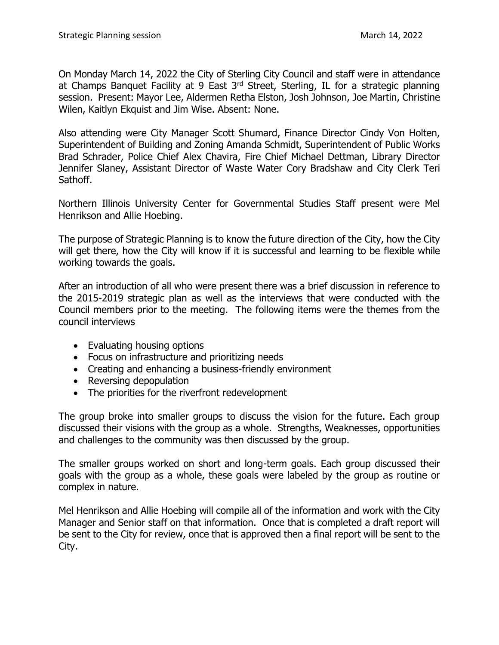On Monday March 14, 2022 the City of Sterling City Council and staff were in attendance at Champs Banquet Facility at 9 East 3<sup>rd</sup> Street, Sterling, IL for a strategic planning session. Present: Mayor Lee, Aldermen Retha Elston, Josh Johnson, Joe Martin, Christine Wilen, Kaitlyn Ekquist and Jim Wise. Absent: None.

Also attending were City Manager Scott Shumard, Finance Director Cindy Von Holten, Superintendent of Building and Zoning Amanda Schmidt, Superintendent of Public Works Brad Schrader, Police Chief Alex Chavira, Fire Chief Michael Dettman, Library Director Jennifer Slaney, Assistant Director of Waste Water Cory Bradshaw and City Clerk Teri Sathoff.

Northern Illinois University Center for Governmental Studies Staff present were Mel Henrikson and Allie Hoebing.

The purpose of Strategic Planning is to know the future direction of the City, how the City will get there, how the City will know if it is successful and learning to be flexible while working towards the goals.

After an introduction of all who were present there was a brief discussion in reference to the 2015-2019 strategic plan as well as the interviews that were conducted with the Council members prior to the meeting. The following items were the themes from the council interviews

- Evaluating housing options
- Focus on infrastructure and prioritizing needs
- Creating and enhancing a business-friendly environment
- Reversing depopulation
- The priorities for the riverfront redevelopment

The group broke into smaller groups to discuss the vision for the future. Each group discussed their visions with the group as a whole. Strengths, Weaknesses, opportunities and challenges to the community was then discussed by the group.

The smaller groups worked on short and long-term goals. Each group discussed their goals with the group as a whole, these goals were labeled by the group as routine or complex in nature.

Mel Henrikson and Allie Hoebing will compile all of the information and work with the City Manager and Senior staff on that information. Once that is completed a draft report will be sent to the City for review, once that is approved then a final report will be sent to the City.